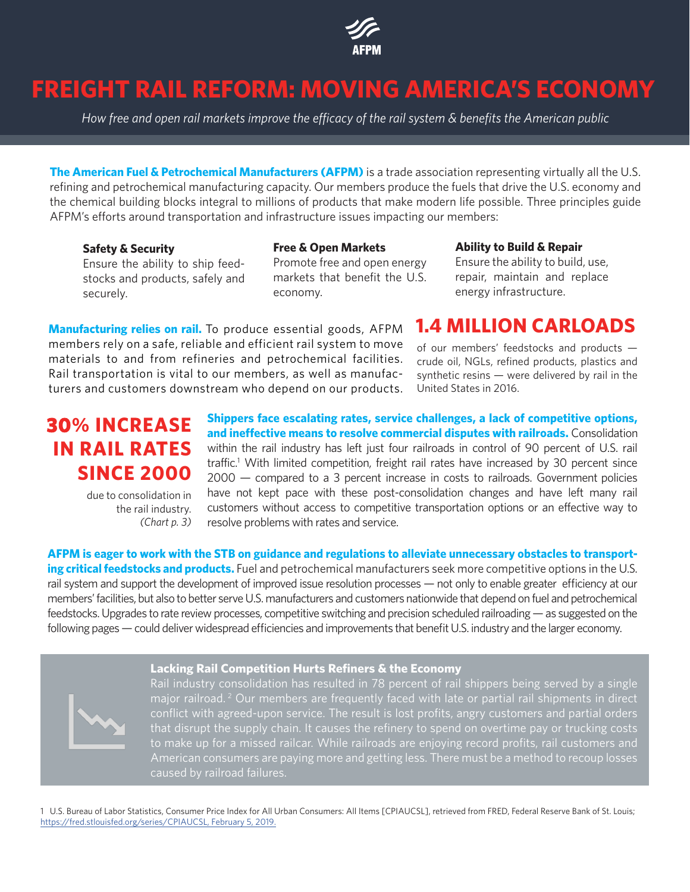

# **FREIGHT RAIL REFORM: MOVING AMERICA'S ECONOMY**

*How free and open rail markets improve the efficacy of the rail system & benefits the American public*

**The American Fuel & Petrochemical Manufacturers (AFPM)** is a trade association representing virtually all the U.S. refining and petrochemical manufacturing capacity. Our members produce the fuels that drive the U.S. economy and the chemical building blocks integral to millions of products that make modern life possible. Three principles guide AFPM's efforts around transportation and infrastructure issues impacting our members:

#### **Safety & Security**

Ensure the ability to ship feedstocks and products, safely and securely.

#### **Free & Open Markets**

Promote free and open energy markets that benefit the U.S. economy.

#### **Ability to Build & Repair**

Ensure the ability to build, use, repair, maintain and replace energy infrastructure.

**Manufacturing relies on rail.** To produce essential goods, AFPM members rely on a safe, reliable and efficient rail system to move materials to and from refineries and petrochemical facilities. Rail transportation is vital to our members, as well as manufacturers and customers downstream who depend on our products.

# **1.4 MILLION CARLOADS**

of our members' feedstocks and products crude oil, NGLs, refined products, plastics and synthetic resins — were delivered by rail in the United States in 2016.

# **30% INCREASE IN RAIL RATES SINCE 2000**

due to consolidation in the rail industry. *(Chart p. 3)*

**Shippers face escalating rates, service challenges, a lack of competitive options, and ineffective means to resolve commercial disputes with railroads.** Consolidation within the rail industry has left just four railroads in control of 90 percent of U.S. rail traffic.<sup>1</sup> With limited competition, freight rail rates have increased by 30 percent since 2000 — compared to a 3 percent increase in costs to railroads. Government policies have not kept pace with these post-consolidation changes and have left many rail customers without access to competitive transportation options or an effective way to resolve problems with rates and service.

**AFPM is eager to work with the STB on guidance and regulations to alleviate unnecessary obstacles to transporting critical feedstocks and products.** Fuel and petrochemical manufacturers seek more competitive options in the U.S. rail system and support the development of improved issue resolution processes — not only to enable greater efficiency at our members' facilities, but also to better serve U.S. manufacturers and customers nationwide that depend on fuel and petrochemical feedstocks. Upgrades to rate review processes, competitive switching and precision scheduled railroading — as suggested on the following pages — could deliver widespread efficiencies and improvements that benefit U.S. industry and the larger economy.

#### **Lacking Rail Competition Hurts Refiners & the Economy**



Rail industry consolidation has resulted in 78 percent of rail shippers being served by a single major railroad.<sup>2</sup> Our members are frequently faced with late or partial rail shipments in direct conflict with agreed-upon service. The result is lost profits, angry customers and partial orders that disrupt the supply chain. It causes the refinery to spend on overtime pay or trucking costs to make up for a missed railcar. While railroads are enjoying record profits, rail customers and American consumers are paying more and getting less. There must be a method to recoup losses caused by railroad failures.

1 U.S. Bureau of Labor Statistics, Consumer Price Index for All Urban Consumers: All Items [CPIAUCSL], retrieved from FRED, Federal Reserve Bank of St. Louis; ht https://fred.stlouisfed.org/series/CPIAUCSL, February 5, 2019.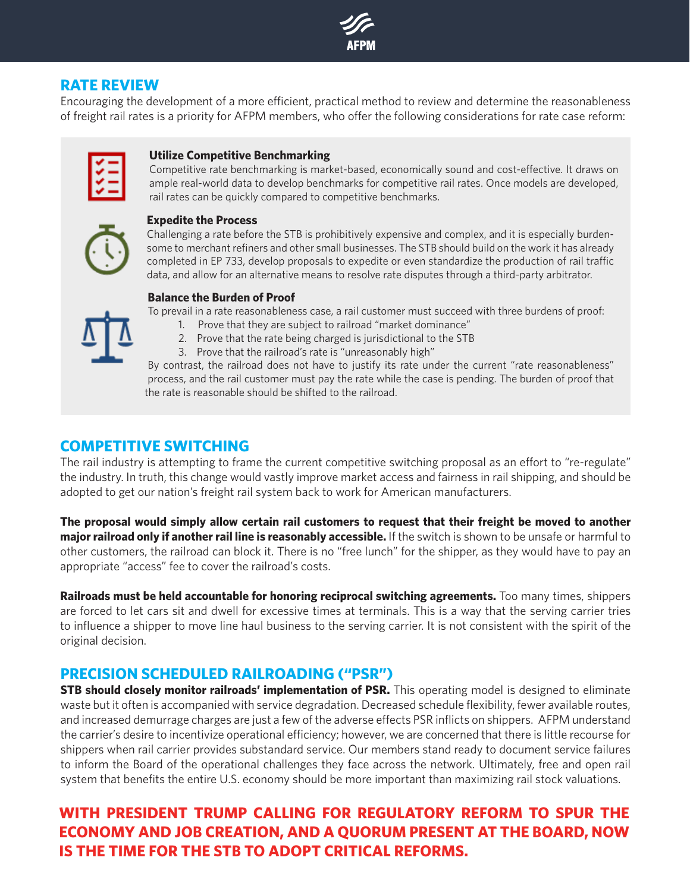

## **RATE REVIEW**

Encouraging the development of a more efficient, practical method to review and determine the reasonableness of freight rail rates is a priority for AFPM members, who offer the following considerations for rate case reform:

#### **Utilize Competitive Benchmarking**

Competitive rate benchmarking is market-based, economically sound and cost-effective. It draws on ample real-world data to develop benchmarks for competitive rail rates. Once models are developed, rail rates can be quickly compared to competitive benchmarks.

#### **Expedite the Process**

Challenging a rate before the STB is prohibitively expensive and complex, and it is especially burdensome to merchant refiners and other small businesses. The STB should build on the work it has already completed in EP 733, develop proposals to expedite or even standardize the production of rail traffic data, and allow for an alternative means to resolve rate disputes through a third-party arbitrator.

## **Balance the Burden of Proof**

To prevail in a rate reasonableness case, a rail customer must succeed with three burdens of proof:

- 1. Prove that they are subject to railroad "market dominance"
- 2. Prove that the rate being charged is jurisdictional to the STB
- 3. Prove that the railroad's rate is "unreasonably high"

By contrast, the railroad does not have to justify its rate under the current "rate reasonableness" process, and the rail customer must pay the rate while the case is pending. The burden of proof that the rate is reasonable should be shifted to the railroad.

## **COMPETITIVE SWITCHING**

The rail industry is attempting to frame the current competitive switching proposal as an effort to "re-regulate" the industry. In truth, this change would vastly improve market access and fairness in rail shipping, and should be adopted to get our nation's freight rail system back to work for American manufacturers.

**The proposal would simply allow certain rail customers to request that their freight be moved to another major railroad only if another rail line is reasonably accessible.** If the switch is shown to be unsafe or harmful to other customers, the railroad can block it. There is no "free lunch" for the shipper, as they would have to pay an appropriate "access" fee to cover the railroad's costs.

**Railroads must be held accountable for honoring reciprocal switching agreements.** Too many times, shippers are forced to let cars sit and dwell for excessive times at terminals. This is a way that the serving carrier tries to influence a shipper to move line haul business to the serving carrier. It is not consistent with the spirit of the original decision.

### **PRECISION SCHEDULED RAILROADING ("PSR")**

**STB should closely monitor railroads' implementation of PSR.** This operating model is designed to eliminate waste but it often is accompanied with service degradation. Decreased schedule flexibility, fewer available routes, and increased demurrage charges are just a few of the adverse effects PSR inflicts on shippers. AFPM understand the carrier's desire to incentivize operational efficiency; however, we are concerned that there is little recourse for shippers when rail carrier provides substandard service. Our members stand ready to document service failures to inform the Board of the operational challenges they face across the network. Ultimately, free and open rail system that benefits the entire U.S. economy should be more important than maximizing rail stock valuations.

# **WITH PRESIDENT TRUMP CALLING FOR REGULATORY REFORM TO SPUR THE ECONOMY AND JOB CREATION, AND A QUORUM PRESENT AT THE BOARD, NOW IS THE TIME FOR THE STB TO ADOPT CRITICAL REFORMS.**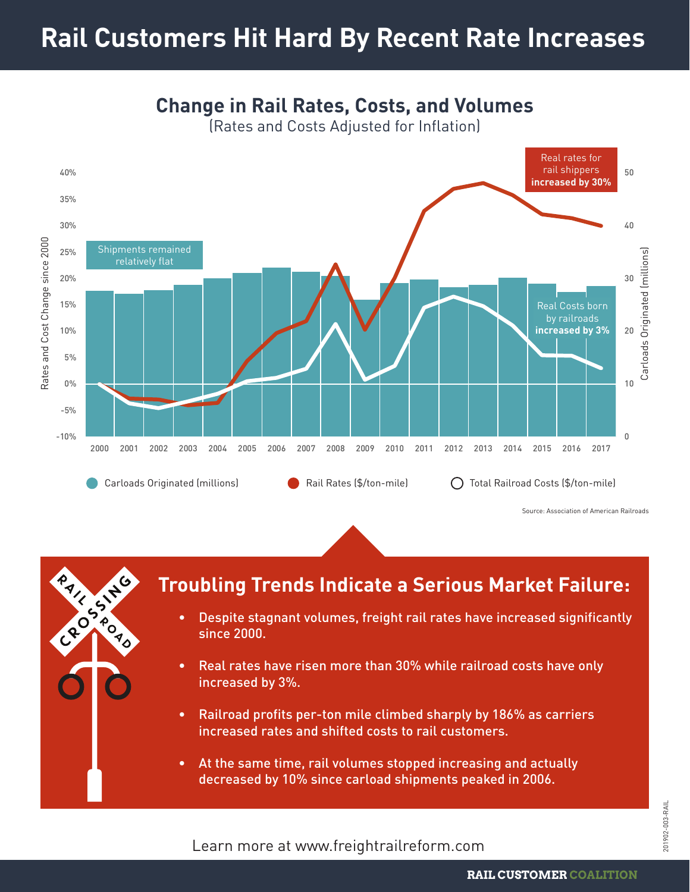# **Rail Customers Hit Hard By Recent Rate Increases**



**Change in Rail Rates, Costs, and Volumes**

(Rates and Costs Adjusted for Inflation)



# **Troubling Trends Indicate a Serious Market Failure:**

- Despite stagnant volumes, freight rail rates have increased significantly since 2000.
- Real rates have risen more than 30% while railroad costs have only increased by 3%.
- Railroad profits per-ton mile climbed sharply by 186% as carriers increased rates and shifted costs to rail customers.
- At the same time, rail volumes stopped increasing and actually decreased by 10% since carload shipments peaked in 2006.

Learn more at www.freightrailreform.com